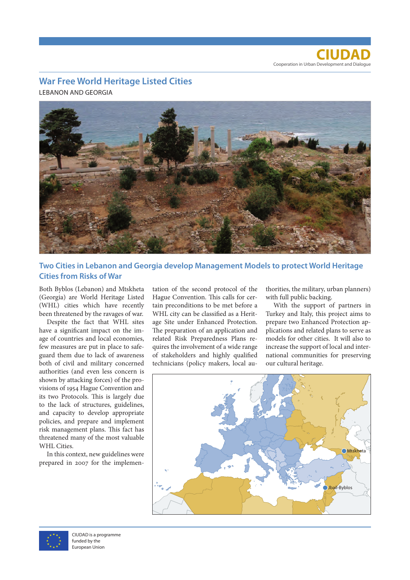**CIUDAD** Cooperation in Urban Development and Dialogue

## **War Free World Heritage Listed Cities**

LEBANON AND GEORGIA



**Two Cities in Lebanon and Georgia develop Management Models to protect World Heritage Cities from Risks of War** 

Both Byblos (Lebanon) and Mtskheta (Georgia) are World Heritage Listed (WHL) cities which have recently been threatened by the ravages of war.

Despite the fact that WHL sites have a significant impact on the image of countries and local economies, few measures are put in place to safeguard them due to lack of awareness both of civil and military concerned authorities (and even less concern is shown by attacking forces) of the provisions of 1954 Hague Convention and its two Protocols. This is largely due to the lack of structures, guidelines, and capacity to develop appropriate policies, and prepare and implement risk management plans. This fact has threatened many of the most valuable WHL Cities.

In this context, new guidelines were prepared in 2007 for the implemen-

tation of the second protocol of the Hague Convention. This calls for certain preconditions to be met before a WHL city can be classified as a Heritage Site under Enhanced Protection. The preparation of an application and related Risk Preparedness Plans requires the involvement of a wide range of stakeholders and highly qualified technicians (policy makers, local au-

thorities, the military, urban planners) with full public backing.

With the support of partners in Turkey and Italy, this project aims to prepare two Enhanced Protection applications and related plans to serve as models for other cities. It will also to increase the support of local and international communities for preserving our cultural heritage.